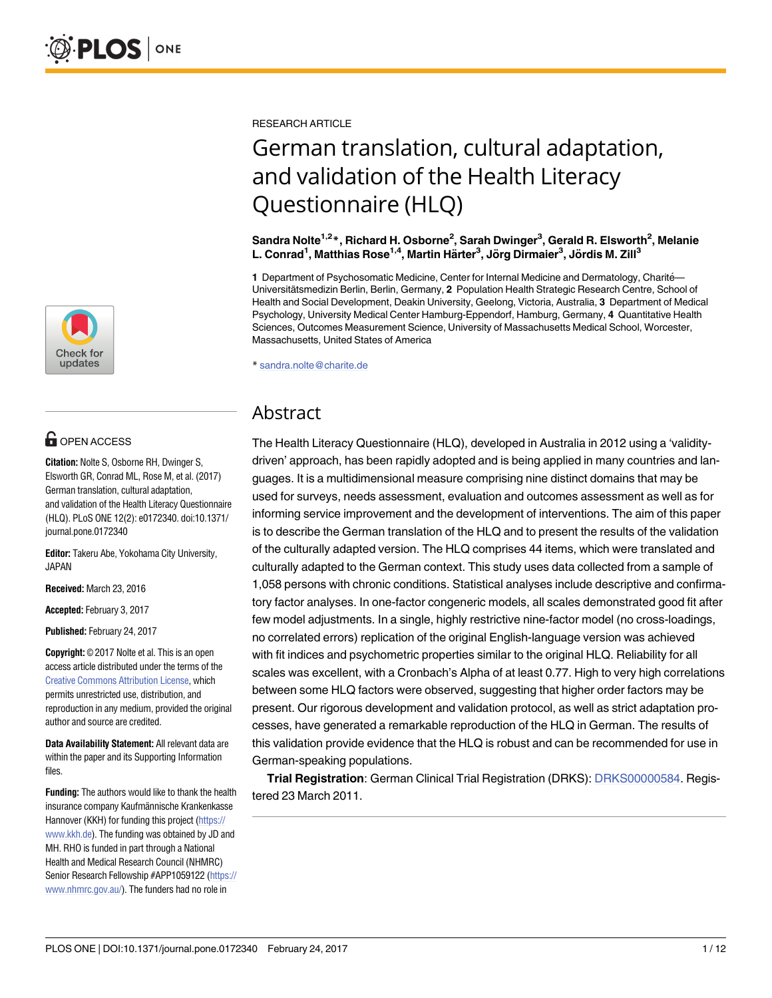

# **OPEN ACCESS**

**Citation:** Nolte S, Osborne RH, Dwinger S, Elsworth GR, Conrad ML, Rose M, et al. (2017) German translation, cultural adaptation, and validation of the Health Literacy Questionnaire (HLQ). PLoS ONE 12(2): e0172340. doi:10.1371/ journal.pone.0172340

**Editor:** Takeru Abe, Yokohama City University, JAPAN

**Received:** March 23, 2016

**Accepted:** February 3, 2017

**Published:** February 24, 2017

**Copyright:** © 2017 Nolte et al. This is an open access article distributed under the terms of the Creative Commons [Attribution](http://creativecommons.org/licenses/by/4.0/) License, which permits unrestricted use, distribution, and reproduction in any medium, provided the original author and source are credited.

**Data Availability Statement:** All relevant data are within the paper and its Supporting Information files.

**Funding:** The authors would like to thank the health insurance company Kaufmännische Krankenkasse Hannover (KKH) for funding this project ([https://](https://www.kkh.de) [www.kkh.de\)](https://www.kkh.de). The funding was obtained by JD and MH. RHO is funded in part through a National Health and Medical Research Council (NHMRC) Senior Research Fellowship #APP1059122 ([https://](https://www.nhmrc.gov.au/) [www.nhmrc.gov.au/](https://www.nhmrc.gov.au/)). The funders had no role in

RESEARCH ARTICLE

# German translation, cultural adaptation, and validation of the Health Literacy Questionnaire (HLQ)

#### **Sandra Nolte1,2\*, Richard H. Osborne2 , Sarah Dwinger3 , Gerald R. Elsworth2 , Melanie**  $L$ . Conrad<sup>1</sup>, Matthias Rose<sup>1,4</sup>, Martin Härter<sup>3</sup>, Jörg Dirmaier<sup>3</sup>, Jördis M. Zill $^3$

1 Department of Psychosomatic Medicine, Center for Internal Medicine and Dermatology, Charité<sup>---</sup> Universitätsmedizin Berlin, Berlin, Germany, 2 Population Health Strategic Research Centre, School of Health and Social Development, Deakin University, Geelong, Victoria, Australia, **3** Department of Medical Psychology, University Medical Center Hamburg-Eppendorf, Hamburg, Germany, **4** Quantitative Health Sciences, Outcomes Measurement Science, University of Massachusetts Medical School, Worcester, Massachusetts, United States of America

\* sandra.nolte@charite.de

## Abstract

The Health Literacy Questionnaire (HLQ), developed in Australia in 2012 using a 'validitydriven' approach, has been rapidly adopted and is being applied in many countries and languages. It is a multidimensional measure comprising nine distinct domains that may be used for surveys, needs assessment, evaluation and outcomes assessment as well as for informing service improvement and the development of interventions. The aim of this paper is to describe the German translation of the HLQ and to present the results of the validation of the culturally adapted version. The HLQ comprises 44 items, which were translated and culturally adapted to the German context. This study uses data collected from a sample of 1,058 persons with chronic conditions. Statistical analyses include descriptive and confirmatory factor analyses. In one-factor congeneric models, all scales demonstrated good fit after few model adjustments. In a single, highly restrictive nine-factor model (no cross-loadings, no correlated errors) replication of the original English-language version was achieved with fit indices and psychometric properties similar to the original HLQ. Reliability for all scales was excellent, with a Cronbach's Alpha of at least 0.77. High to very high correlations between some HLQ factors were observed, suggesting that higher order factors may be present. Our rigorous development and validation protocol, as well as strict adaptation processes, have generated a remarkable reproduction of the HLQ in German. The results of this validation provide evidence that the HLQ is robust and can be recommended for use in German-speaking populations.

**Trial Registration**: German Clinical Trial Registration (DRKS): [DRKS00000584.](https://clinicaltrials.gov/ct2/show/DRKS00000584) Registered 23 March 2011.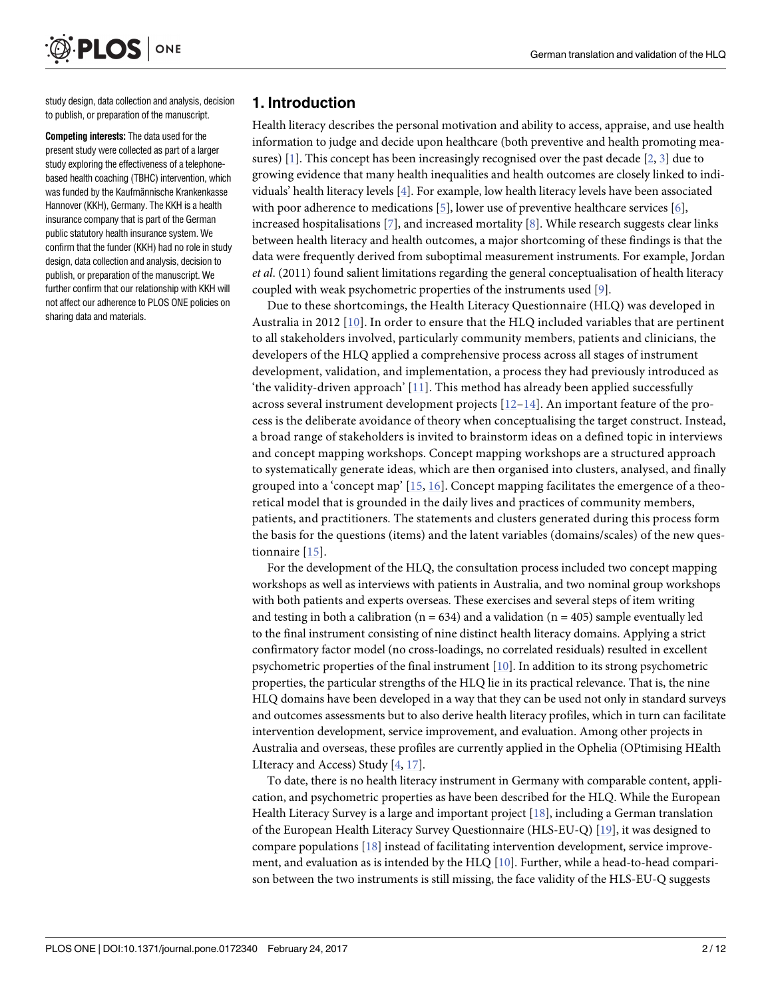study design, data collection and analysis, decision to publish, or preparation of the manuscript.

ONE

<span id="page-1-0"></span>**PLOS**I

**Competing interests:** The data used for the present study were collected as part of a larger study exploring the effectiveness of a telephonebased health coaching (TBHC) intervention, which was funded by the Kaufmännische Krankenkasse Hannover (KKH), Germany. The KKH is a health insurance company that is part of the German public statutory health insurance system. We confirm that the funder (KKH) had no role in study design, data collection and analysis, decision to publish, or preparation of the manuscript. We further confirm that our relationship with KKH will not affect our adherence to PLOS ONE policies on sharing data and materials.

#### **1. Introduction**

Health literacy describes the personal motivation and ability to access, appraise, and use health information to judge and decide upon healthcare (both preventive and health promoting measures) [\[1](#page-10-0)]. This concept has been increasingly recognised over the past decade [[2,](#page-10-0) [3\]](#page-10-0) due to growing evidence that many health inequalities and health outcomes are closely linked to individuals' health literacy levels [[4\]](#page-10-0). For example, low health literacy levels have been associated with poor adherence to medications  $[5]$ , lower use of preventive healthcare services  $[6]$  $[6]$ , increased hospitalisations [[7](#page-10-0)], and increased mortality [\[8\]](#page-10-0). While research suggests clear links between health literacy and health outcomes, a major shortcoming of these findings is that the data were frequently derived from suboptimal measurement instruments. For example, Jordan *et al*. (2011) found salient limitations regarding the general conceptualisation of health literacy coupled with weak psychometric properties of the instruments used [[9](#page-10-0)].

Due to these shortcomings, the Health Literacy Questionnaire (HLQ) was developed in Australia in 2012 [[10](#page-10-0)]. In order to ensure that the HLQ included variables that are pertinent to all stakeholders involved, particularly community members, patients and clinicians, the developers of the HLQ applied a comprehensive process across all stages of instrument development, validation, and implementation, a process they had previously introduced as 'the validity-driven approach' [\[11\]](#page-10-0). This method has already been applied successfully across several instrument development projects  $[12–14]$  $[12–14]$ . An important feature of the process is the deliberate avoidance of theory when conceptualising the target construct. Instead, a broad range of stakeholders is invited to brainstorm ideas on a defined topic in interviews and concept mapping workshops. Concept mapping workshops are a structured approach to systematically generate ideas, which are then organised into clusters, analysed, and finally grouped into a 'concept map' [\[15](#page-10-0), [16\]](#page-10-0). Concept mapping facilitates the emergence of a theoretical model that is grounded in the daily lives and practices of community members, patients, and practitioners. The statements and clusters generated during this process form the basis for the questions (items) and the latent variables (domains/scales) of the new questionnaire [[15](#page-10-0)].

For the development of the HLQ, the consultation process included two concept mapping workshops as well as interviews with patients in Australia, and two nominal group workshops with both patients and experts overseas. These exercises and several steps of item writing and testing in both a calibration ( $n = 634$ ) and a validation ( $n = 405$ ) sample eventually led to the final instrument consisting of nine distinct health literacy domains. Applying a strict confirmatory factor model (no cross-loadings, no correlated residuals) resulted in excellent psychometric properties of the final instrument [\[10\]](#page-10-0). In addition to its strong psychometric properties, the particular strengths of the HLQ lie in its practical relevance. That is, the nine HLQ domains have been developed in a way that they can be used not only in standard surveys and outcomes assessments but to also derive health literacy profiles, which in turn can facilitate intervention development, service improvement, and evaluation. Among other projects in Australia and overseas, these profiles are currently applied in the Ophelia (OPtimising HEalth LIteracy and Access) Study [\[4,](#page-10-0) [17\]](#page-10-0).

To date, there is no health literacy instrument in Germany with comparable content, application, and psychometric properties as have been described for the HLQ. While the European Health Literacy Survey is a large and important project [\[18\]](#page-11-0), including a German translation of the European Health Literacy Survey Questionnaire (HLS-EU-Q) [\[19\]](#page-11-0), it was designed to compare populations [\[18\]](#page-11-0) instead of facilitating intervention development, service improvement, and evaluation as is intended by the HLQ [\[10\]](#page-10-0). Further, while a head-to-head comparison between the two instruments is still missing, the face validity of the HLS-EU-Q suggests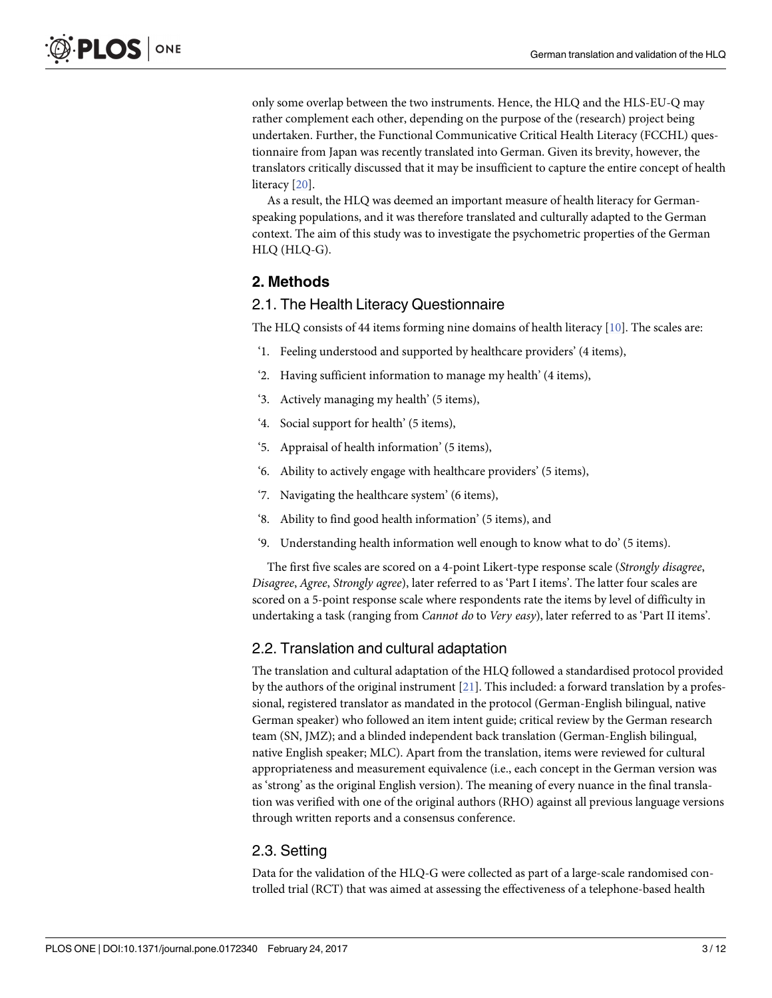<span id="page-2-0"></span>only some overlap between the two instruments. Hence, the HLQ and the HLS-EU-Q may rather complement each other, depending on the purpose of the (research) project being undertaken. Further, the Functional Communicative Critical Health Literacy (FCCHL) questionnaire from Japan was recently translated into German. Given its brevity, however, the translators critically discussed that it may be insufficient to capture the entire concept of health literacy [[20](#page-11-0)].

As a result, the HLQ was deemed an important measure of health literacy for Germanspeaking populations, and it was therefore translated and culturally adapted to the German context. The aim of this study was to investigate the psychometric properties of the German HLQ (HLQ-G).

## **2. Methods**

#### 2.1. The Health Literacy Questionnaire

The HLQ consists of 44 items forming nine domains of health literacy [\[10\]](#page-10-0). The scales are:

- '1. Feeling understood and supported by healthcare providers' (4 items),
- '2. Having sufficient information to manage my health' (4 items),
- '3. Actively managing my health' (5 items),
- '4. Social support for health' (5 items),
- '5. Appraisal of health information' (5 items),
- '6. Ability to actively engage with healthcare providers' (5 items),
- '7. Navigating the healthcare system' (6 items),
- '8. Ability to find good health information' (5 items), and
- '9. Understanding health information well enough to know what to do' (5 items).

The first five scales are scored on a 4-point Likert-type response scale (*Strongly disagree*, *Disagree*, *Agree*, *Strongly agree*), later referred to as 'Part I items'. The latter four scales are scored on a 5-point response scale where respondents rate the items by level of difficulty in undertaking a task (ranging from *Cannot do* to *Very easy*), later referred to as 'Part II items'.

#### 2.2. Translation and cultural adaptation

The translation and cultural adaptation of the HLQ followed a standardised protocol provided by the authors of the original instrument  $[21]$ . This included: a forward translation by a professional, registered translator as mandated in the protocol (German-English bilingual, native German speaker) who followed an item intent guide; critical review by the German research team (SN, JMZ); and a blinded independent back translation (German-English bilingual, native English speaker; MLC). Apart from the translation, items were reviewed for cultural appropriateness and measurement equivalence (i.e., each concept in the German version was as 'strong' as the original English version). The meaning of every nuance in the final translation was verified with one of the original authors (RHO) against all previous language versions through written reports and a consensus conference.

#### 2.3. Setting

Data for the validation of the HLQ-G were collected as part of a large-scale randomised controlled trial (RCT) that was aimed at assessing the effectiveness of a telephone-based health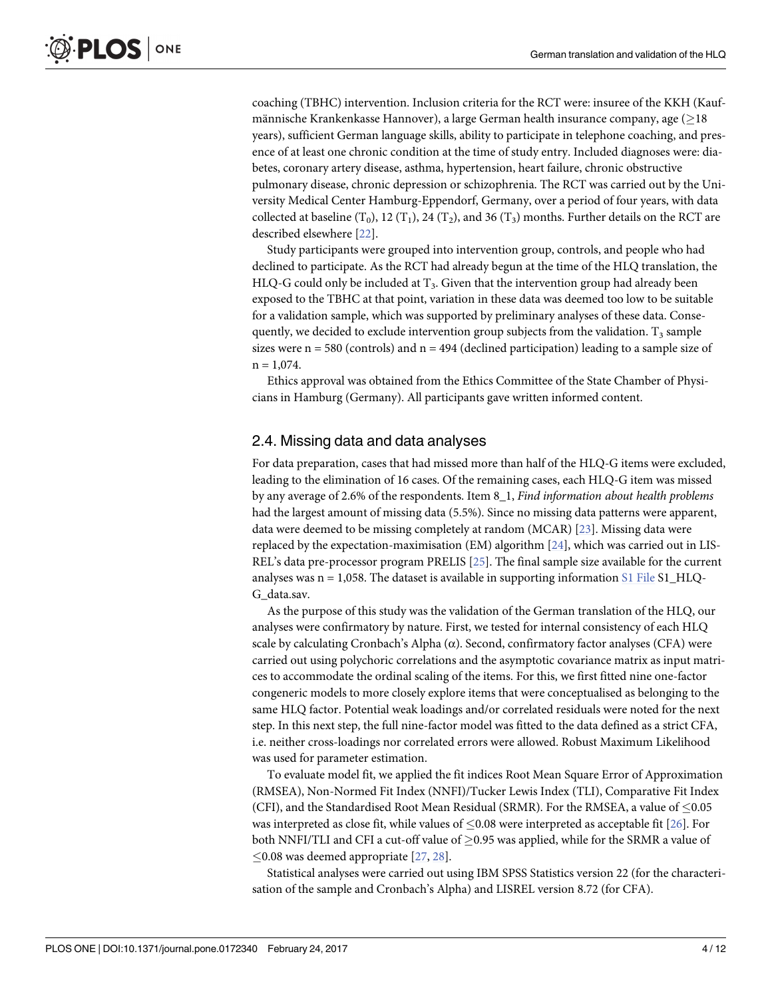<span id="page-3-0"></span>coaching (TBHC) intervention. Inclusion criteria for the RCT were: insuree of the KKH (Kaufmännische Krankenkasse Hannover), a large German health insurance company, age ( $\geq$ 18 years), sufficient German language skills, ability to participate in telephone coaching, and presence of at least one chronic condition at the time of study entry. Included diagnoses were: diabetes, coronary artery disease, asthma, hypertension, heart failure, chronic obstructive pulmonary disease, chronic depression or schizophrenia. The RCT was carried out by the University Medical Center Hamburg-Eppendorf, Germany, over a period of four years, with data collected at baseline  $(T_0)$ , 12  $(T_1)$ , 24  $(T_2)$ , and 36  $(T_3)$  months. Further details on the RCT are described elsewhere [\[22](#page-11-0)].

Study participants were grouped into intervention group, controls, and people who had declined to participate. As the RCT had already begun at the time of the HLQ translation, the HLQ-G could only be included at  $T_3$ . Given that the intervention group had already been exposed to the TBHC at that point, variation in these data was deemed too low to be suitable for a validation sample, which was supported by preliminary analyses of these data. Consequently, we decided to exclude intervention group subjects from the validation.  $T_3$  sample sizes were  $n = 580$  (controls) and  $n = 494$  (declined participation) leading to a sample size of  $n = 1.074$ .

Ethics approval was obtained from the Ethics Committee of the State Chamber of Physicians in Hamburg (Germany). All participants gave written informed content.

## 2.4. Missing data and data analyses

For data preparation, cases that had missed more than half of the HLQ-G items were excluded, leading to the elimination of 16 cases. Of the remaining cases, each HLQ-G item was missed by any average of 2.6% of the respondents. Item 8\_1, *Find information about health problems* had the largest amount of missing data (5.5%). Since no missing data patterns were apparent, data were deemed to be missing completely at random (MCAR) [\[23\]](#page-11-0). Missing data were replaced by the expectation-maximisation (EM) algorithm [[24](#page-11-0)], which was carried out in LIS-REL's data pre-processor program PRELIS [\[25\]](#page-11-0). The final sample size available for the current analyses was  $n = 1,058$ . The dataset is available in supporting information S1 [File](#page-9-0) S1 HLQ-G\_data.sav.

As the purpose of this study was the validation of the German translation of the HLQ, our analyses were confirmatory by nature. First, we tested for internal consistency of each HLQ scale by calculating Cronbach's Alpha  $(\alpha)$ . Second, confirmatory factor analyses (CFA) were carried out using polychoric correlations and the asymptotic covariance matrix as input matrices to accommodate the ordinal scaling of the items. For this, we first fitted nine one-factor congeneric models to more closely explore items that were conceptualised as belonging to the same HLQ factor. Potential weak loadings and/or correlated residuals were noted for the next step. In this next step, the full nine-factor model was fitted to the data defined as a strict CFA, i.e. neither cross-loadings nor correlated errors were allowed. Robust Maximum Likelihood was used for parameter estimation.

To evaluate model fit, we applied the fit indices Root Mean Square Error of Approximation (RMSEA), Non-Normed Fit Index (NNFI)/Tucker Lewis Index (TLI), Comparative Fit Index (CFI), and the Standardised Root Mean Residual (SRMR). For the RMSEA, a value of  $\leq 0.05$ was interpreted as close fit, while values of  $\leq$  0.08 were interpreted as acceptable fit [[26](#page-11-0)]. For both NNFI/TLI and CFI a cut-off value of  $\geq$ 0.95 was applied, while for the SRMR a value of  $\leq$ 0.08 was deemed appropriate [\[27,](#page-11-0) [28\]](#page-11-0).

Statistical analyses were carried out using IBM SPSS Statistics version 22 (for the characterisation of the sample and Cronbach's Alpha) and LISREL version 8.72 (for CFA).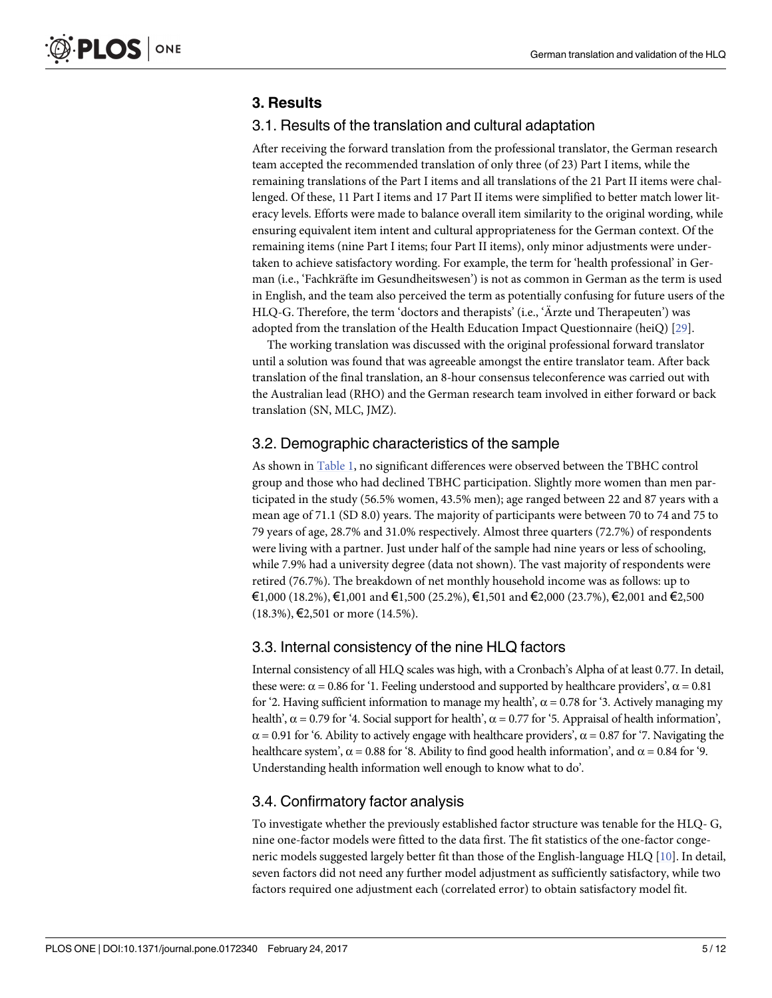## <span id="page-4-0"></span>**3. Results**

## 3.1. Results of the translation and cultural adaptation

After receiving the forward translation from the professional translator, the German research team accepted the recommended translation of only three (of 23) Part I items, while the remaining translations of the Part I items and all translations of the 21 Part II items were challenged. Of these, 11 Part I items and 17 Part II items were simplified to better match lower literacy levels. Efforts were made to balance overall item similarity to the original wording, while ensuring equivalent item intent and cultural appropriateness for the German context. Of the remaining items (nine Part I items; four Part II items), only minor adjustments were undertaken to achieve satisfactory wording. For example, the term for 'health professional' in German (i.e., 'Fachkräfte im Gesundheitswesen') is not as common in German as the term is used in English, and the team also perceived the term as potentially confusing for future users of the HLQ-G. Therefore, the term 'doctors and therapists' (i.e., 'Arzte und Therapeuten') was adopted from the translation of the Health Education Impact Questionnaire (heiQ) [[29](#page-11-0)].

The working translation was discussed with the original professional forward translator until a solution was found that was agreeable amongst the entire translator team. After back translation of the final translation, an 8-hour consensus teleconference was carried out with the Australian lead (RHO) and the German research team involved in either forward or back translation (SN, MLC, JMZ).

## 3.2. Demographic characteristics of the sample

As shown in [Table](#page-5-0) 1, no significant differences were observed between the TBHC control group and those who had declined TBHC participation. Slightly more women than men participated in the study (56.5% women, 43.5% men); age ranged between 22 and 87 years with a mean age of 71.1 (SD 8.0) years. The majority of participants were between 70 to 74 and 75 to 79 years of age, 28.7% and 31.0% respectively. Almost three quarters (72.7%) of respondents were living with a partner. Just under half of the sample had nine years or less of schooling, while 7.9% had a university degree (data not shown). The vast majority of respondents were retired (76.7%). The breakdown of net monthly household income was as follows: up to  $\in$ 1,000 (18.2%),  $\in$ 1,001 and  $\in$ 1,500 (25.2%),  $\in$ 1,501 and  $\in$ 2,000 (23.7%),  $\in$ 2,001 and  $\in$ 2,500 (18.3%), €2,501 or more (14.5%).

## 3.3. Internal consistency of the nine HLQ factors

Internal consistency of all HLQ scales was high, with a Cronbach's Alpha of at least 0.77. In detail, these were:  $\alpha$  = 0.86 for '1. Feeling understood and supported by healthcare providers',  $\alpha$  = 0.81 for '2. Having sufficient information to manage my health',  $\alpha$  = 0.78 for '3. Actively managing my health',  $\alpha$  = 0.79 for '4. Social support for health',  $\alpha$  = 0.77 for '5. Appraisal of health information',  $\alpha$  = 0.91 for '6. Ability to actively engage with healthcare providers',  $\alpha$  = 0.87 for '7. Navigating the healthcare system',  $\alpha$  = 0.88 for '8. Ability to find good health information', and  $\alpha$  = 0.84 for '9. Understanding health information well enough to know what to do'.

## 3.4. Confirmatory factor analysis

To investigate whether the previously established factor structure was tenable for the HLQ- G, nine one-factor models were fitted to the data first. The fit statistics of the one-factor congeneric models suggested largely better fit than those of the English-language HLQ [[10\]](#page-10-0). In detail, seven factors did not need any further model adjustment as sufficiently satisfactory, while two factors required one adjustment each (correlated error) to obtain satisfactory model fit.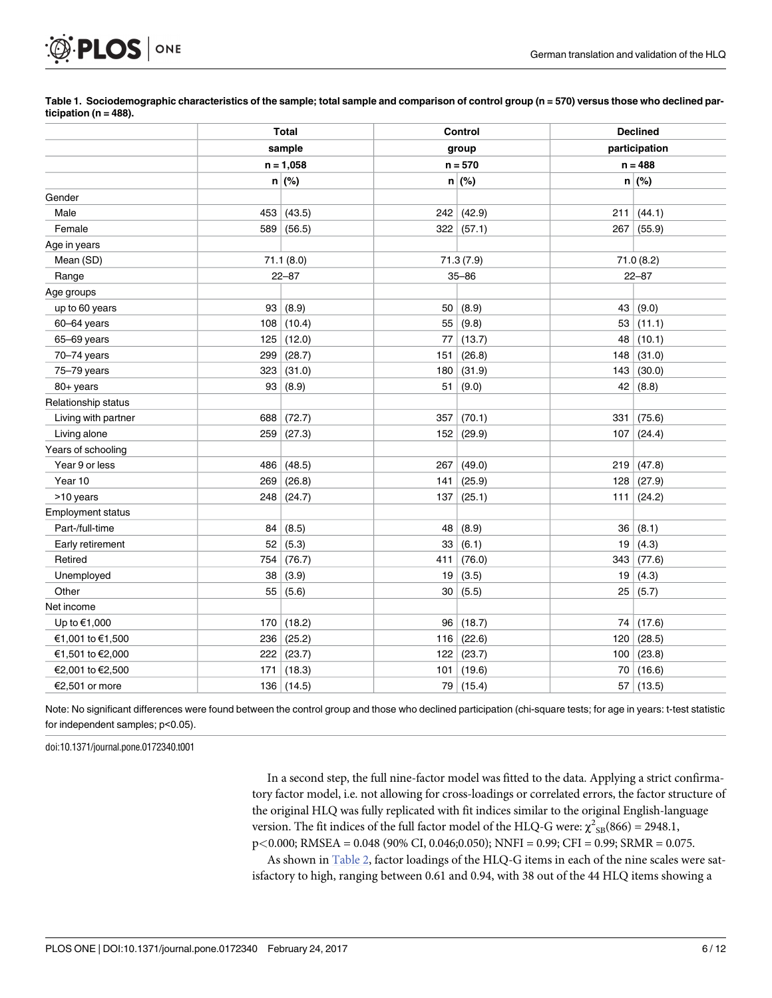<span id="page-5-0"></span>

**Total Control Declined sample group participation n = 1,058 n = 570 n = 488 n (%) n (%) n (%)** Gender Male 453 | (43.5) 242 | (42.9) 211 | (44.1) Female 589 (56.5) 322 (57.1) 267 (55.9) Age in years

| Age in years             |     |           |     |           |     |           |
|--------------------------|-----|-----------|-----|-----------|-----|-----------|
| Mean (SD)                |     | 71.1(8.0) |     | 71.3(7.9) |     | 71.0(8.2) |
| Range                    |     | $22 - 87$ |     | $35 - 86$ |     | $22 - 87$ |
| Age groups               |     |           |     |           |     |           |
| up to 60 years           | 93  | (8.9)     | 50  | (8.9)     | 43  | (9.0)     |
| $60 - 64$ years          | 108 | (10.4)    | 55  | (9.8)     | 53  | (11.1)    |
| 65-69 years              | 125 | (12.0)    | 77  | (13.7)    | 48  | (10.1)    |
| $70 - 74$ years          | 299 | (28.7)    | 151 | (26.8)    | 148 | (31.0)    |
| 75-79 years              | 323 | (31.0)    | 180 | (31.9)    | 143 | (30.0)    |
| 80+ years                | 93  | (8.9)     | 51  | (9.0)     | 42  | (8.8)     |
| Relationship status      |     |           |     |           |     |           |
| Living with partner      | 688 | (72.7)    | 357 | (70.1)    | 331 | (75.6)    |
| Living alone             | 259 | (27.3)    | 152 | (29.9)    | 107 | (24.4)    |
| Years of schooling       |     |           |     |           |     |           |
| Year 9 or less           | 486 | (48.5)    | 267 | (49.0)    | 219 | (47.8)    |
| Year 10                  | 269 | (26.8)    | 141 | (25.9)    | 128 | (27.9)    |
| >10 years                | 248 | (24.7)    | 137 | (25.1)    | 111 | (24.2)    |
| <b>Employment status</b> |     |           |     |           |     |           |
| Part-/full-time          | 84  | (8.5)     | 48  | (8.9)     | 36  | (8.1)     |
| Early retirement         | 52  | (5.3)     | 33  | (6.1)     | 19  | (4.3)     |
| Retired                  | 754 | (76.7)    | 411 | (76.0)    | 343 | (77.6)    |
| Unemployed               | 38  | (3.9)     | 19  | (3.5)     | 19  | (4.3)     |
| Other                    | 55  | (5.6)     | 30  | (5.5)     | 25  | (5.7)     |
| Net income               |     |           |     |           |     |           |
| Up to €1,000             | 170 | (18.2)    | 96  | (18.7)    | 74  | (17.6)    |
| €1,001 to €1,500         | 236 | (25.2)    | 116 | (22.6)    | 120 | (28.5)    |
| €1,501 to €2,000         | 222 | (23.7)    | 122 | (23.7)    | 100 | (23.8)    |
| €2,001 to €2,500         | 171 | (18.3)    | 101 | (19.6)    | 70  | (16.6)    |
| €2,501 or more           | 136 | (14.5)    | 79  | (15.4)    | 57  | (13.5)    |

[Table](#page-4-0) 1. Sociodemographic characteristics of the sample; total sample and comparison of control group (n = 570) versus those who declined par**ticipation (n = 488).**

Note: No significant differences were found between the control group and those who declined participation (chi-square tests; for age in years: t-test statistic for independent samples; p<0.05).

doi:10.1371/journal.pone.0172340.t001

In a second step, the full nine-factor model was fitted to the data. Applying a strict confirmatory factor model, i.e. not allowing for cross-loadings or correlated errors, the factor structure of the original HLQ was fully replicated with fit indices similar to the original English-language version. The fit indices of the full factor model of the HLQ-G were:  $\chi^2_{SB}(866) = 2948.1$ , p*<*0.000; RMSEA = 0.048 (90% CI, 0.046;0.050); NNFI = 0.99; CFI = 0.99; SRMR = 0.075.

As shown in [Table](#page-6-0) 2, factor loadings of the HLQ-G items in each of the nine scales were satisfactory to high, ranging between 0.61 and 0.94, with 38 out of the 44 HLQ items showing a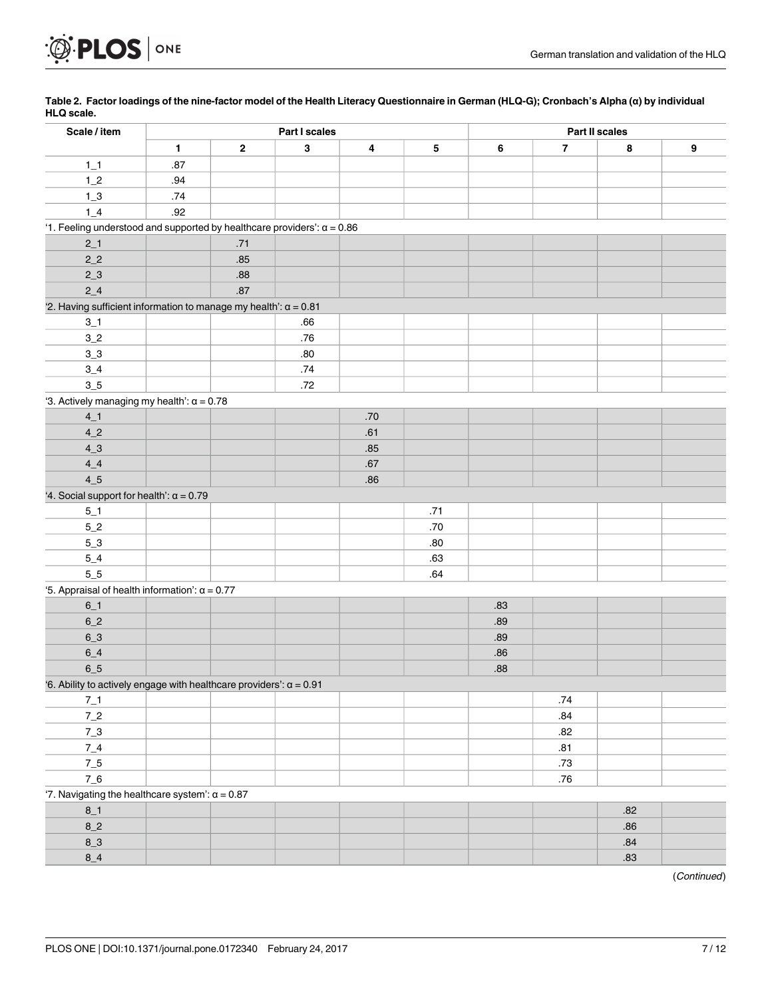<span id="page-6-0"></span>

| Scale / item                                                                   |     |              | Part I scales |     | Part II scales |     |                |     |   |
|--------------------------------------------------------------------------------|-----|--------------|---------------|-----|----------------|-----|----------------|-----|---|
|                                                                                | 1   | $\mathbf{2}$ | 3             | 4   | 5              | 6   | $\overline{7}$ | 8   | 9 |
| $1_1$                                                                          | .87 |              |               |     |                |     |                |     |   |
| $1_2$                                                                          | .94 |              |               |     |                |     |                |     |   |
| $1_{-}3$                                                                       | .74 |              |               |     |                |     |                |     |   |
| $1_{-}4$                                                                       | .92 |              |               |     |                |     |                |     |   |
| '1. Feeling understood and supported by healthcare providers': $\alpha = 0.86$ |     |              |               |     |                |     |                |     |   |
| $2 - 1$                                                                        |     | .71          |               |     |                |     |                |     |   |
| $2_{2}$                                                                        |     | .85          |               |     |                |     |                |     |   |
| $2_{-}3$                                                                       |     | .88          |               |     |                |     |                |     |   |
| $2_{-}4$                                                                       |     | .87          |               |     |                |     |                |     |   |
| '2. Having sufficient information to manage my health': $\alpha = 0.81$        |     |              |               |     |                |     |                |     |   |
| $3-1$                                                                          |     |              | .66           |     |                |     |                |     |   |
| $3_2$                                                                          |     |              | $.76\,$       |     |                |     |                |     |   |
| $3_3$                                                                          |     |              | .80           |     |                |     |                |     |   |
| $3_4$                                                                          |     |              | .74           |     |                |     |                |     |   |
| $3_5$                                                                          |     |              | .72           |     |                |     |                |     |   |
| '3. Actively managing my health': $\alpha = 0.78$                              |     |              |               |     |                |     |                |     |   |
| $4-1$                                                                          |     |              |               | .70 |                |     |                |     |   |
| $4-2$                                                                          |     |              |               | .61 |                |     |                |     |   |
| $4-3$                                                                          |     |              |               | .85 |                |     |                |     |   |
| $4_{-}4$                                                                       |     |              |               | .67 |                |     |                |     |   |
| $4\_5$                                                                         |     |              |               | .86 |                |     |                |     |   |
| '4. Social support for health': $\alpha = 0.79$                                |     |              |               |     |                |     |                |     |   |
| $5 - 1$                                                                        |     |              |               |     | .71            |     |                |     |   |
| $5_{2}$                                                                        |     |              |               |     | .70            |     |                |     |   |
| $5-3$                                                                          |     |              |               |     | .80            |     |                |     |   |
| $5-4$                                                                          |     |              |               |     | .63            |     |                |     |   |
| $5 - 5$                                                                        |     |              |               |     | .64            |     |                |     |   |
| '5. Appraisal of health information': $\alpha = 0.77$                          |     |              |               |     |                |     |                |     |   |
| $6 - 1$                                                                        |     |              |               |     |                | .83 |                |     |   |
| 62                                                                             |     |              |               |     |                | .89 |                |     |   |
| $6 - 3$                                                                        |     |              |               |     |                | .89 |                |     |   |
| $6_{-}4$                                                                       |     |              |               |     |                | .86 |                |     |   |
| $6\_5$                                                                         |     |              |               |     |                | .88 |                |     |   |
| '6. Ability to actively engage with healthcare providers': $\alpha = 0.91$     |     |              |               |     |                |     |                |     |   |
| $7_{-1}$                                                                       |     |              |               |     |                |     | .74            |     |   |
| $7_2$                                                                          |     |              |               |     |                |     | .84            |     |   |
| $7_3$                                                                          |     |              |               |     |                |     | .82            |     |   |
| $7_4$                                                                          |     |              |               |     |                |     | .81            |     |   |
| $7\_5$                                                                         |     |              |               |     |                |     | .73            |     |   |
| $7_{-6}$                                                                       |     |              |               |     |                |     | .76            |     |   |
| '7. Navigating the healthcare system': $\alpha = 0.87$                         |     |              |               |     |                |     |                |     |   |
| $8-1$                                                                          |     |              |               |     |                |     |                | .82 |   |
| $8_2$                                                                          |     |              |               |     |                |     |                | .86 |   |
| $8_3$                                                                          |     |              |               |     |                |     |                | .84 |   |
| $8_4$                                                                          |     |              |               |     |                |     |                | .83 |   |
|                                                                                |     |              |               |     |                |     |                |     |   |

#### [Table](#page-5-0) 2. Factor loadings of the nine-factor model of the Health Literacy Questionnaire in German (HLQ-G); Cronbach's Alpha (a) by individual **HLQ scale.**

(Continued)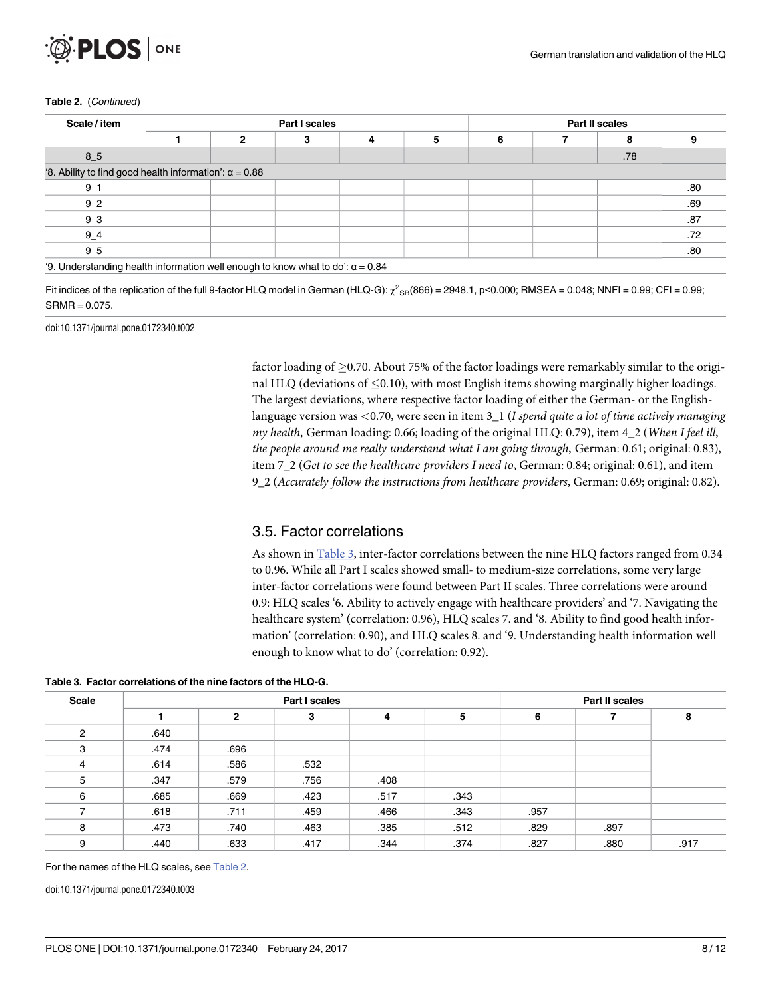## **Table 2.** (Continued)

ONE

| Scale / item                                                                          |   | Part I scales | Part II scales |   |   |  |     |     |
|---------------------------------------------------------------------------------------|---|---------------|----------------|---|---|--|-----|-----|
|                                                                                       | 2 | з             | 4              | 5 | 6 |  | 8   |     |
| $8-5$                                                                                 |   |               |                |   |   |  | .78 |     |
| '8. Ability to find good health information': $\alpha$ = 0.88                         |   |               |                |   |   |  |     |     |
| $9-1$                                                                                 |   |               |                |   |   |  |     | .80 |
| 92                                                                                    |   |               |                |   |   |  |     | .69 |
| $9-3$                                                                                 |   |               |                |   |   |  |     | .87 |
| $9-4$                                                                                 |   |               |                |   |   |  |     | .72 |
| $9-5$                                                                                 |   |               |                |   |   |  |     | .80 |
| '9. Understanding health information well enough to know what to do': $\alpha = 0.84$ |   |               |                |   |   |  |     |     |

Fit indices of the replication of the full 9-factor HLQ model in German (HLQ-G):  $\chi^2_{\rm SB}$ (866) = 2948.1, p<0.000; RMSEA = 0.048; NNFI = 0.99; CFI = 0.99; SRMR = 0.075.

doi:10.1371/journal.pone.0172340.t002

factor loading of  $\geq$  0.70. About 75% of the factor loadings were remarkably similar to the original HLQ (deviations of  $\leq$ 0.10), with most English items showing marginally higher loadings. The largest deviations, where respective factor loading of either the German- or the Englishlanguage version was *<*0.70, were seen in item 3\_1 (*I spend quite a lot of time actively managing my health*, German loading: 0.66; loading of the original HLQ: 0.79), item 4\_2 (*When I feel ill*, *the people around me really understand what I am going through*, German: 0.61; original: 0.83), item 7\_2 (*Get to see the healthcare providers I need to*, German: 0.84; original: 0.61), and item 9\_2 (*Accurately follow the instructions from healthcare providers*, German: 0.69; original: 0.82).

#### 3.5. Factor correlations

As shown in Table 3, inter-factor correlations between the nine HLQ factors ranged from 0.34 to 0.96. While all Part I scales showed small- to medium-size correlations, some very large inter-factor correlations were found between Part II scales. Three correlations were around 0.9: HLQ scales '6. Ability to actively engage with healthcare providers' and '7. Navigating the healthcare system' (correlation: 0.96), HLQ scales 7. and '8. Ability to find good health information' (correlation: 0.90), and HLQ scales 8. and '9. Understanding health information well enough to know what to do' (correlation: 0.92).

**Table 3. Factor correlations of the nine factors of the HLQ-G.**

| Scale |      |                | Part II scales |      |      |      |      |      |
|-------|------|----------------|----------------|------|------|------|------|------|
|       |      | $\overline{2}$ | 3              | 4    | 5    | 6    |      | 8    |
| 2     | .640 |                |                |      |      |      |      |      |
| 3     | .474 | .696           |                |      |      |      |      |      |
| 4     | .614 | .586           | .532           |      |      |      |      |      |
| 5     | .347 | .579           | .756           | .408 |      |      |      |      |
| 6     | .685 | .669           | .423           | .517 | .343 |      |      |      |
|       | .618 | .711           | .459           | .466 | .343 | .957 |      |      |
| 8     | .473 | .740           | .463           | .385 | .512 | .829 | .897 |      |
| 9     | .440 | .633           | .417           | .344 | .374 | .827 | .880 | .917 |

For the names of the HLQ scales, see [Table](#page-6-0) 2.

doi:10.1371/journal.pone.0172340.t003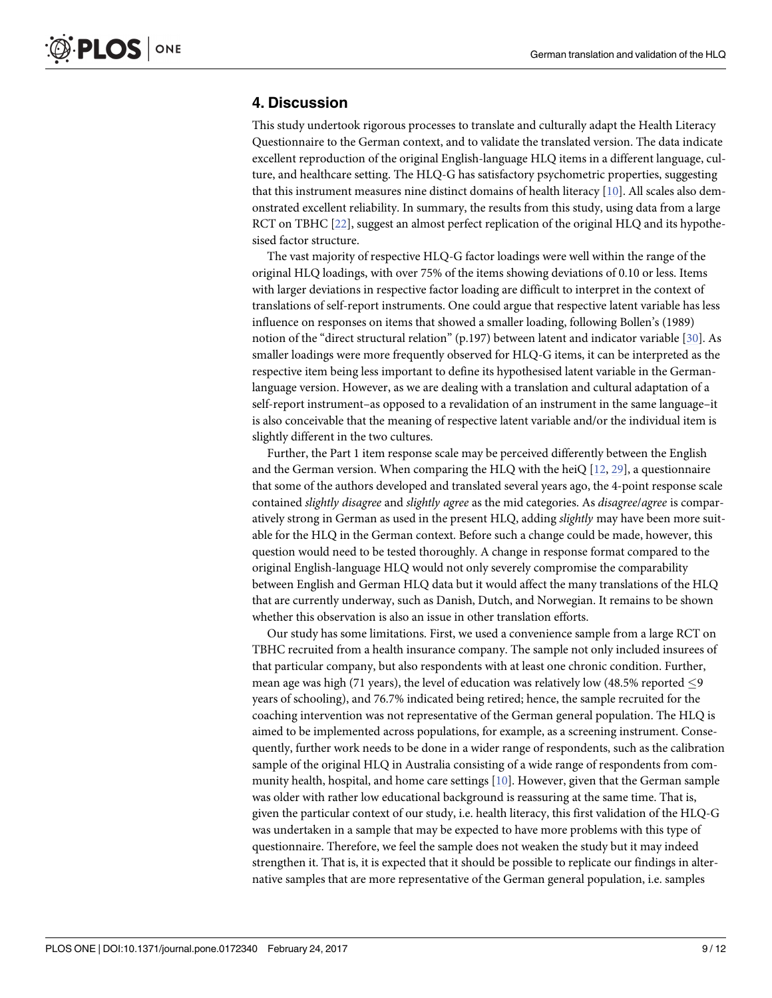## <span id="page-8-0"></span>**4. Discussion**

This study undertook rigorous processes to translate and culturally adapt the Health Literacy Questionnaire to the German context, and to validate the translated version. The data indicate excellent reproduction of the original English-language HLQ items in a different language, culture, and healthcare setting. The HLQ-G has satisfactory psychometric properties, suggesting that this instrument measures nine distinct domains of health literacy [\[10\]](#page-10-0). All scales also demonstrated excellent reliability. In summary, the results from this study, using data from a large RCT on TBHC [[22](#page-11-0)], suggest an almost perfect replication of the original HLQ and its hypothesised factor structure.

The vast majority of respective HLQ-G factor loadings were well within the range of the original HLQ loadings, with over 75% of the items showing deviations of 0.10 or less. Items with larger deviations in respective factor loading are difficult to interpret in the context of translations of self-report instruments. One could argue that respective latent variable has less influence on responses on items that showed a smaller loading, following Bollen's (1989) notion of the "direct structural relation" (p.197) between latent and indicator variable [[30](#page-11-0)]. As smaller loadings were more frequently observed for HLQ-G items, it can be interpreted as the respective item being less important to define its hypothesised latent variable in the Germanlanguage version. However, as we are dealing with a translation and cultural adaptation of a self-report instrument–as opposed to a revalidation of an instrument in the same language–it is also conceivable that the meaning of respective latent variable and/or the individual item is slightly different in the two cultures.

Further, the Part 1 item response scale may be perceived differently between the English and the German version. When comparing the HLQ with the heiQ  $[12, 29]$  $[12, 29]$  $[12, 29]$ , a questionnaire that some of the authors developed and translated several years ago, the 4-point response scale contained *slightly disagree* and *slightly agree* as the mid categories. As *disagree*/*agree* is comparatively strong in German as used in the present HLQ, adding *slightly* may have been more suitable for the HLQ in the German context. Before such a change could be made, however, this question would need to be tested thoroughly. A change in response format compared to the original English-language HLQ would not only severely compromise the comparability between English and German HLQ data but it would affect the many translations of the HLQ that are currently underway, such as Danish, Dutch, and Norwegian. It remains to be shown whether this observation is also an issue in other translation efforts.

Our study has some limitations. First, we used a convenience sample from a large RCT on TBHC recruited from a health insurance company. The sample not only included insurees of that particular company, but also respondents with at least one chronic condition. Further, mean age was high (71 years), the level of education was relatively low (48.5% reported  $\leq$ 9 years of schooling), and 76.7% indicated being retired; hence, the sample recruited for the coaching intervention was not representative of the German general population. The HLQ is aimed to be implemented across populations, for example, as a screening instrument. Consequently, further work needs to be done in a wider range of respondents, such as the calibration sample of the original HLQ in Australia consisting of a wide range of respondents from community health, hospital, and home care settings [\[10\]](#page-10-0). However, given that the German sample was older with rather low educational background is reassuring at the same time. That is, given the particular context of our study, i.e. health literacy, this first validation of the HLQ-G was undertaken in a sample that may be expected to have more problems with this type of questionnaire. Therefore, we feel the sample does not weaken the study but it may indeed strengthen it. That is, it is expected that it should be possible to replicate our findings in alternative samples that are more representative of the German general population, i.e. samples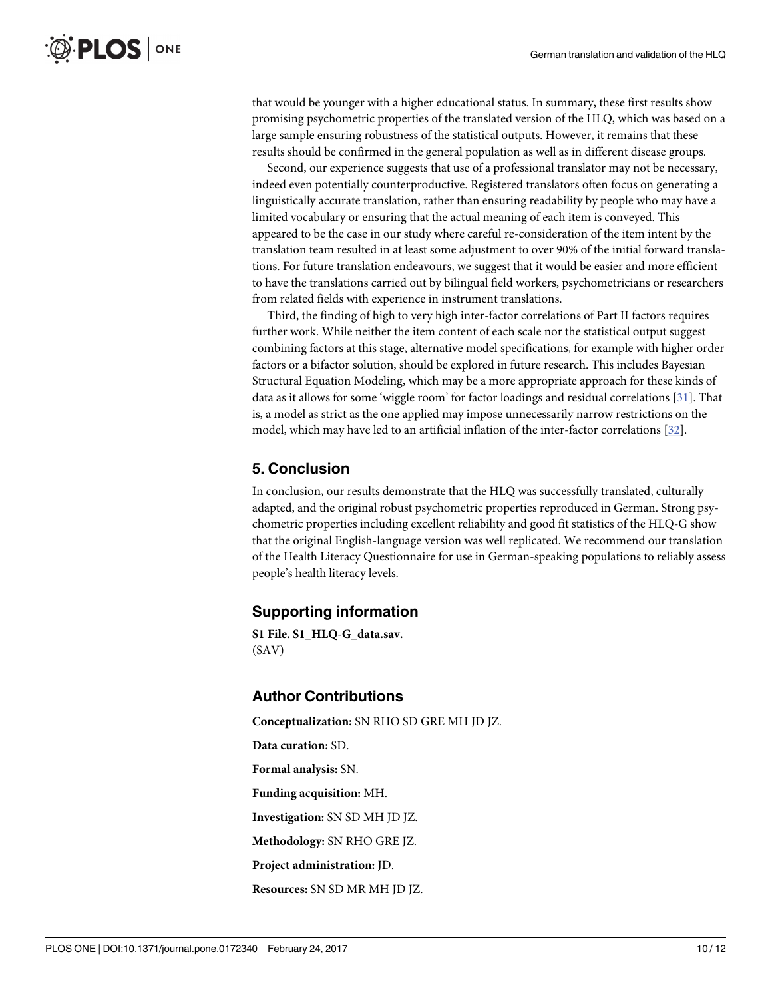<span id="page-9-0"></span>that would be younger with a higher educational status. In summary, these first results show promising psychometric properties of the translated version of the HLQ, which was based on a large sample ensuring robustness of the statistical outputs. However, it remains that these results should be confirmed in the general population as well as in different disease groups.

Second, our experience suggests that use of a professional translator may not be necessary, indeed even potentially counterproductive. Registered translators often focus on generating a linguistically accurate translation, rather than ensuring readability by people who may have a limited vocabulary or ensuring that the actual meaning of each item is conveyed. This appeared to be the case in our study where careful re-consideration of the item intent by the translation team resulted in at least some adjustment to over 90% of the initial forward translations. For future translation endeavours, we suggest that it would be easier and more efficient to have the translations carried out by bilingual field workers, psychometricians or researchers from related fields with experience in instrument translations.

Third, the finding of high to very high inter-factor correlations of Part II factors requires further work. While neither the item content of each scale nor the statistical output suggest combining factors at this stage, alternative model specifications, for example with higher order factors or a bifactor solution, should be explored in future research. This includes Bayesian Structural Equation Modeling, which may be a more appropriate approach for these kinds of data as it allows for some 'wiggle room' for factor loadings and residual correlations [\[31\]](#page-11-0). That is, a model as strict as the one applied may impose unnecessarily narrow restrictions on the model, which may have led to an artificial inflation of the inter-factor correlations [[32](#page-11-0)].

## **5. Conclusion**

In conclusion, our results demonstrate that the HLQ was successfully translated, culturally adapted, and the original robust psychometric properties reproduced in German. Strong psychometric properties including excellent reliability and good fit statistics of the HLQ-G show that the original English-language version was well replicated. We recommend our translation of the Health Literacy Questionnaire for use in German-speaking populations to reliably assess people's health literacy levels.

#### **Supporting information**

**S1 [File.](http://www.plosone.org/article/fetchSingleRepresentation.action?uri=info:doi/10.1371/journal.pone.0172340.s001) S1\_HLQ-G\_data.sav.** (SAV)

#### **Author Contributions**

**Conceptualization:** SN RHO SD GRE MH JD JZ. **Data curation:** SD. **Formal analysis:** SN. **Funding acquisition:** MH. **Investigation:** SN SD MH JD JZ. **Methodology:** SN RHO GRE JZ. **Project administration:** JD. **Resources:** SN SD MR MH JD JZ.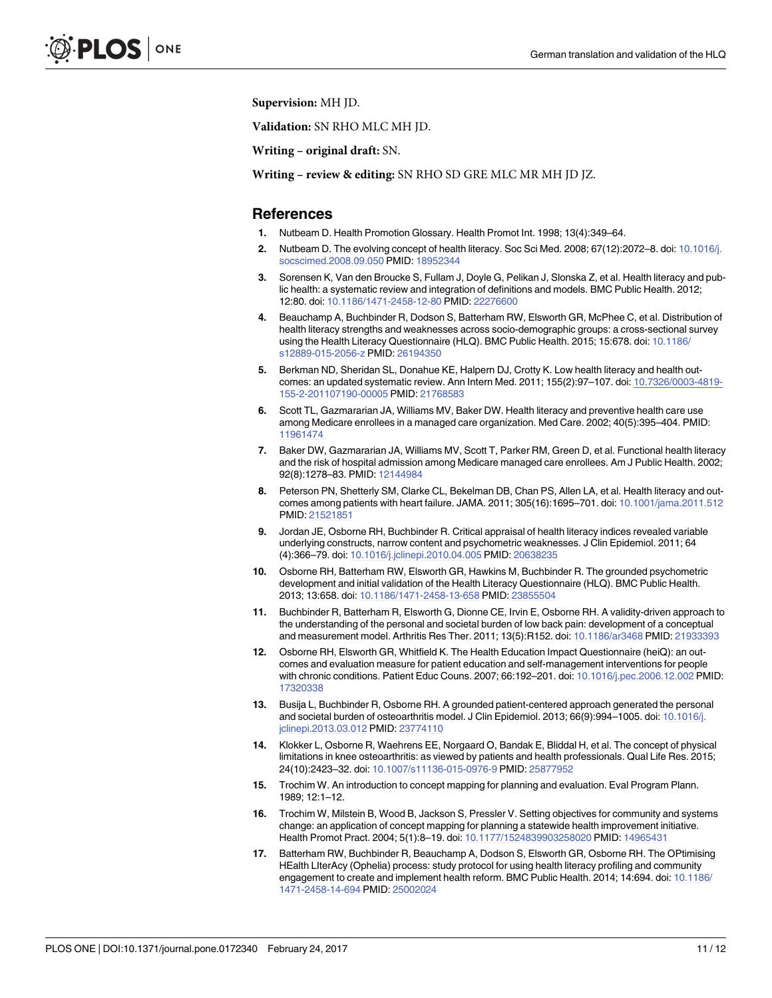<span id="page-10-0"></span>**Supervision:** MH JD.

**Validation:** SN RHO MLC MH JD.

**Writing – original draft:** SN.

**Writing – review & editing:** SN RHO SD GRE MLC MR MH JD JZ.

#### **References**

- **[1](#page-1-0).** Nutbeam D. Health Promotion Glossary. Health Promot Int. 1998; 13(4):349–64.
- **[2](#page-1-0).** Nutbeam D. The evolving concept of health literacy. Soc Sci Med. 2008; 67(12):2072–8. doi: [10.1016/j.](http://dx.doi.org/10.1016/j.socscimed.2008.09.050) [socscimed.2008.09.050](http://dx.doi.org/10.1016/j.socscimed.2008.09.050) PMID: [18952344](http://www.ncbi.nlm.nih.gov/pubmed/18952344)
- **[3](#page-1-0).** Sorensen K, Van den Broucke S, Fullam J, Doyle G, Pelikan J, Slonska Z, et al. Health literacy and public health: a systematic review and integration of definitions and models. BMC Public Health. 2012; 12:80. doi: [10.1186/1471-2458-12-80](http://dx.doi.org/10.1186/1471-2458-12-80) PMID: [22276600](http://www.ncbi.nlm.nih.gov/pubmed/22276600)
- **[4](#page-1-0).** Beauchamp A, Buchbinder R, Dodson S, Batterham RW, Elsworth GR, McPhee C, et al. Distribution of health literacy strengths and weaknesses across socio-demographic groups: a cross-sectional survey using the Health Literacy Questionnaire (HLQ). BMC Public Health. 2015; 15:678. doi: [10.1186/](http://dx.doi.org/10.1186/s12889-015-2056-z) [s12889-015-2056-z](http://dx.doi.org/10.1186/s12889-015-2056-z) PMID: [26194350](http://www.ncbi.nlm.nih.gov/pubmed/26194350)
- **[5](#page-1-0).** Berkman ND, Sheridan SL, Donahue KE, Halpern DJ, Crotty K. Low health literacy and health outcomes: an updated systematic review. Ann Intern Med. 2011; 155(2):97–107. doi: [10.7326/0003-4819-](http://dx.doi.org/10.7326/0003-4819-155-2-201107190-00005) [155-2-201107190-00005](http://dx.doi.org/10.7326/0003-4819-155-2-201107190-00005) PMID: [21768583](http://www.ncbi.nlm.nih.gov/pubmed/21768583)
- **[6](#page-1-0).** Scott TL, Gazmararian JA, Williams MV, Baker DW. Health literacy and preventive health care use among Medicare enrollees in a managed care organization. Med Care. 2002; 40(5):395–404. PMID: [11961474](http://www.ncbi.nlm.nih.gov/pubmed/11961474)
- **[7](#page-1-0).** Baker DW, Gazmararian JA, Williams MV, Scott T, Parker RM, Green D, et al. Functional health literacy and the risk of hospital admission among Medicare managed care enrollees. Am J Public Health. 2002; 92(8):1278–83. PMID: [12144984](http://www.ncbi.nlm.nih.gov/pubmed/12144984)
- **[8](#page-1-0).** Peterson PN, Shetterly SM, Clarke CL, Bekelman DB, Chan PS, Allen LA, et al. Health literacy and outcomes among patients with heart failure. JAMA. 2011; 305(16):1695–701. doi: [10.1001/jama.2011.512](http://dx.doi.org/10.1001/jama.2011.512) PMID: [21521851](http://www.ncbi.nlm.nih.gov/pubmed/21521851)
- **[9](#page-1-0).** Jordan JE, Osborne RH, Buchbinder R. Critical appraisal of health literacy indices revealed variable underlying constructs, narrow content and psychometric weaknesses. J Clin Epidemiol. 2011; 64 (4):366–79. doi: [10.1016/j.jclinepi.2010.04.005](http://dx.doi.org/10.1016/j.jclinepi.2010.04.005) PMID: [20638235](http://www.ncbi.nlm.nih.gov/pubmed/20638235)
- **[10](#page-1-0).** Osborne RH, Batterham RW, Elsworth GR, Hawkins M, Buchbinder R. The grounded psychometric development and initial validation of the Health Literacy Questionnaire (HLQ). BMC Public Health. 2013; 13:658. doi: [10.1186/1471-2458-13-658](http://dx.doi.org/10.1186/1471-2458-13-658) PMID: [23855504](http://www.ncbi.nlm.nih.gov/pubmed/23855504)
- **[11](#page-1-0).** Buchbinder R, Batterham R, Elsworth G, Dionne CE, Irvin E, Osborne RH. A validity-driven approach to the understanding of the personal and societal burden of low back pain: development of a conceptual and measurement model. Arthritis Res Ther. 2011; 13(5):R152. doi: [10.1186/ar3468](http://dx.doi.org/10.1186/ar3468) PMID: [21933393](http://www.ncbi.nlm.nih.gov/pubmed/21933393)
- **[12](#page-1-0).** Osborne RH, Elsworth GR, Whitfield K. The Health Education Impact Questionnaire (heiQ): an outcomes and evaluation measure for patient education and self-management interventions for people with chronic conditions. Patient Educ Couns. 2007; 66:192–201. doi: [10.1016/j.pec.2006.12.002](http://dx.doi.org/10.1016/j.pec.2006.12.002) PMID: [17320338](http://www.ncbi.nlm.nih.gov/pubmed/17320338)
- **13.** Busija L, Buchbinder R, Osborne RH. A grounded patient-centered approach generated the personal and societal burden of osteoarthritis model. J Clin Epidemiol. 2013; 66(9):994–1005. doi: [10.1016/j.](http://dx.doi.org/10.1016/j.jclinepi.2013.03.012) [jclinepi.2013.03.012](http://dx.doi.org/10.1016/j.jclinepi.2013.03.012) PMID: [23774110](http://www.ncbi.nlm.nih.gov/pubmed/23774110)
- **[14](#page-1-0).** Klokker L, Osborne R, Waehrens EE, Norgaard O, Bandak E, Bliddal H, et al. The concept of physical limitations in knee osteoarthritis: as viewed by patients and health professionals. Qual Life Res. 2015; 24(10):2423–32. doi: [10.1007/s11136-015-0976-9](http://dx.doi.org/10.1007/s11136-015-0976-9) PMID: [25877952](http://www.ncbi.nlm.nih.gov/pubmed/25877952)
- **[15](#page-1-0).** Trochim W. An introduction to concept mapping for planning and evaluation. Eval Program Plann. 1989; 12:1–12.
- **[16](#page-1-0).** Trochim W, Milstein B, Wood B, Jackson S, Pressler V. Setting objectives for community and systems change: an application of concept mapping for planning a statewide health improvement initiative. Health Promot Pract. 2004; 5(1):8–19. doi: [10.1177/1524839903258020](http://dx.doi.org/10.1177/1524839903258020) PMID: [14965431](http://www.ncbi.nlm.nih.gov/pubmed/14965431)
- **[17](#page-1-0).** Batterham RW, Buchbinder R, Beauchamp A, Dodson S, Elsworth GR, Osborne RH. The OPtimising HEalth LIterAcy (Ophelia) process: study protocol for using health literacy profiling and community engagement to create and implement health reform. BMC Public Health. 2014; 14:694. doi: [10.1186/](http://dx.doi.org/10.1186/1471-2458-14-694) [1471-2458-14-694](http://dx.doi.org/10.1186/1471-2458-14-694) PMID: [25002024](http://www.ncbi.nlm.nih.gov/pubmed/25002024)